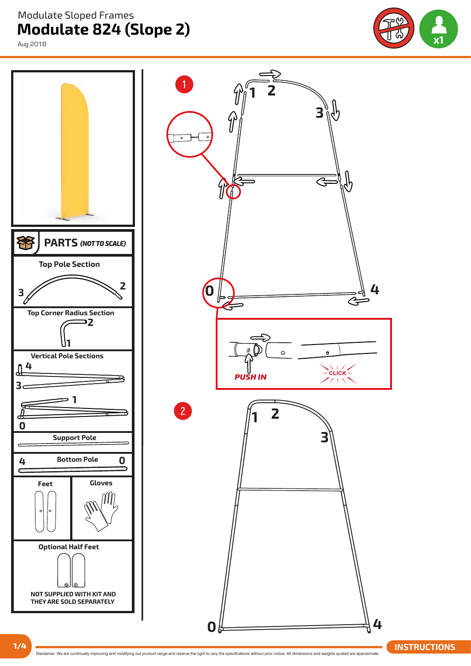**Modulate 824 (Slope 2)**  Modulate Sloped Frames

Aug 2018





**1/4 Interact and CONS Disclaimer:** We are continually improving and modifying our product range and reserve the right to vary the specifications without prior notice. All dimensions and weights quoted are approximate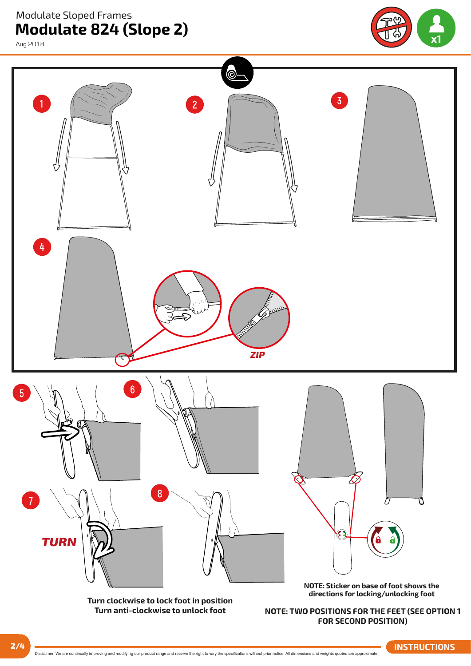**Modulate 824 (Slope 2)** Modulate Sloped Frames

Aug 2018





Disclaimer: We are continually improving and modifying our product range and reserve the right to vary the specifications without prior notice. All dimensions and weights quoted are approximate **2/4 INSTRUCTIONS**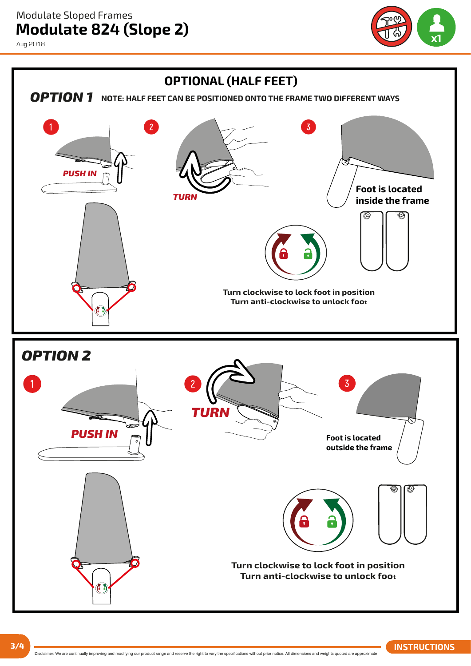